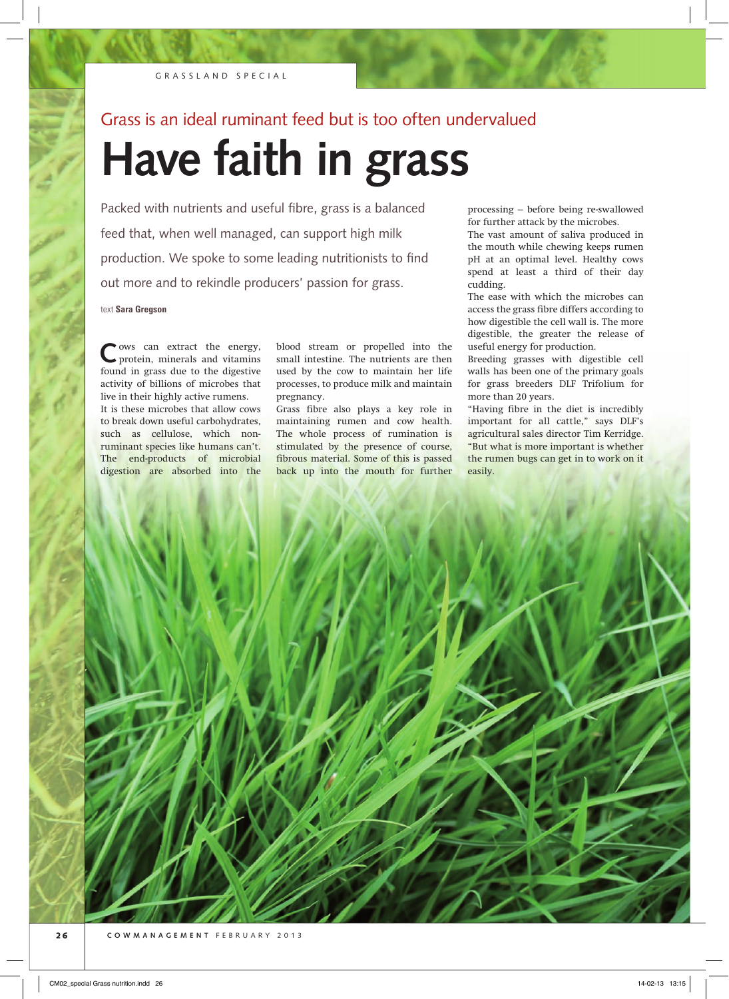## Grass is an ideal ruminant feed but is too often undervalued

# **Have faith in grass**

Packed with nutrients and useful fibre, grass is a balanced feed that, when well managed, can support high milk production. We spoke to some leading nutritionists to find out more and to rekindle producers' passion for grass.

text **Sara Gregson**

**C**ows can extract the energy, protein, minerals and vitamins found in grass due to the digestive activity of billions of microbes that live in their highly active rumens.

It is these microbes that allow cows to break down useful carbohydrates, such as cellulose, which nonruminant species like humans can't. The end-products of microbial digestion are absorbed into the

blood stream or propelled into the small intestine. The nutrients are then used by the cow to maintain her life processes, to produce milk and maintain pregnancy.

Grass fibre also plays a key role in maintaining rumen and cow health. The whole process of rumination is stimulated by the presence of course, fibrous material. Some of this is passed back up into the mouth for further

processing – before being re-swallowed for further attack by the microbes.

The vast amount of saliva produced in the mouth while chewing keeps rumen pH at an optimal level. Healthy cows spend at least a third of their day cudding.

The ease with which the microbes can access the grass fibre differs according to how digestible the cell wall is. The more digestible, the greater the release of useful energy for production.

Breeding grasses with digestible cell walls has been one of the primary goals for grass breeders DLF Trifolium for more than 20 years.

"Having fibre in the diet is incredibly important for all cattle," says DLF's agricultural sales director Tim Kerridge. "But what is more important is whether the rumen bugs can get in to work on it easily.